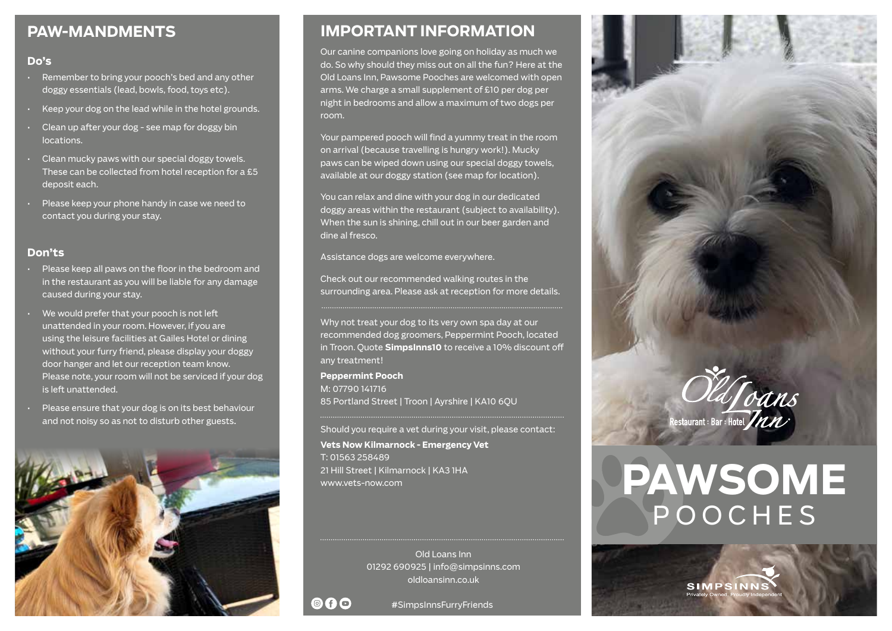## **PAW-MANDMENTS**

#### **Do's**

- Remember to bring your pooch's bed and any other doggy essentials (lead, bowls, food, toys etc).
- Keep your dog on the lead while in the hotel grounds.
- Clean up after your dog see map for doggy bin locations.
- $\cdot$  Clean mucky paws with our special doggy towels. These can be collected from hotel reception for a £5 deposit each.
- Please keep your phone handy in case we need to contact you during your stay.

## **Don'ts**

- Please keep all paws on the floor in the bedroom and in the restaurant as you will be liable for any damage caused during your stay.
- We would prefer that your pooch is not left unattended in your room. However, if you are using the leisure facilities at Gailes Hotel or dining without your furry friend, please display your doggy door hanger and let our reception team know. Please note, your room will not be serviced if your dog is left unattended.
- Please ensure that your dog is on its best behaviour and not noisy so as not to disturb other guests.



# **IMPORTANT INFORMATION**

Our canine companions love going on holiday as much we do. So why should they miss out on all the fun? Here at the Old Loans Inn, Pawsome Pooches are welcomed with open arms. We charge a small supplement of £10 per dog per night in bedrooms and allow a maximum of two dogs per room.

Your pampered pooch will find a yummy treat in the room on arrival (because travelling is hungry work!). Mucky paws can be wiped down using our special doggy towels, available at our doggy station (see map for location).

You can relax and dine with your dog in our dedicated doggy areas within the restaurant (subject to availability). When the sun is shining, chill out in our beer garden and dine al fresco.

Assistance dogs are welcome everywhere.

Check out our recommended walking routes in the surrounding area. Please ask at reception for more details.

Why not treat your dog to its very own spa day at our recommended dog groomers, Peppermint Pooch, located in Troon. Quote **SimpsInns10** to receive a 10% discount off any treatment!

**Peppermint Pooch** M: 07790 141716 85 Portland Street | Troon | Ayrshire | KA10 6QU

Should you require a vet during your visit, please contact:

**Vets Now Kilmarnock - Emergency Vet**  T: 01563 258489 21 Hill Street | Kilmarnock | KA3 1HA www.vets-now.com

> Old Loans Inn 01292 690925 | info@simpsinns.com oldloansinn.co.uk

60

#SimpsInnsFurryFriends



# **PAWSOME** POOCHES

**SIMPSINN**